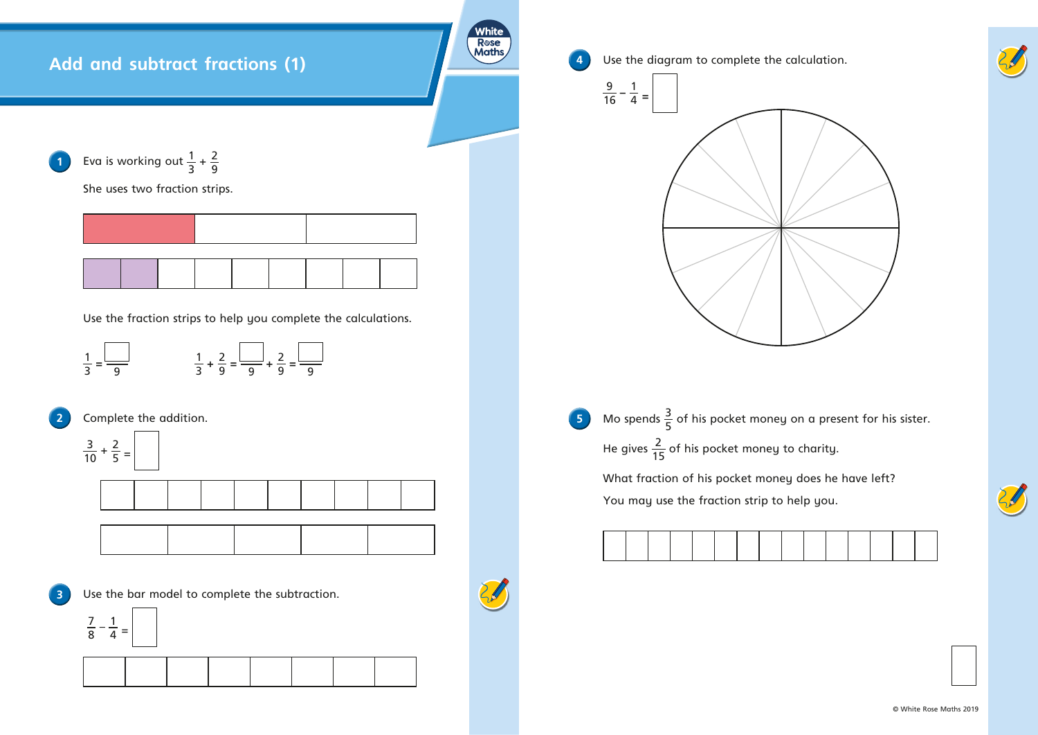

**5** Mo spends  $\frac{3}{5}$  of his pocket money on a present for his sister. He gives  $\frac{2}{15}$  of his pocket money to charity. What fraction of his pocket money does he have left? You may use the fraction strip to help you.



**4** Use the diagram to complete the calculation.